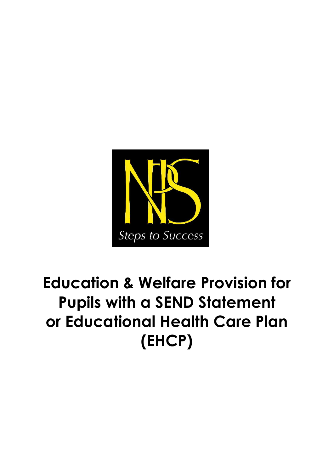

# **Education & Welfare Provision for Pupils with a SEND Statement or Educational Health Care Plan (EHCP)**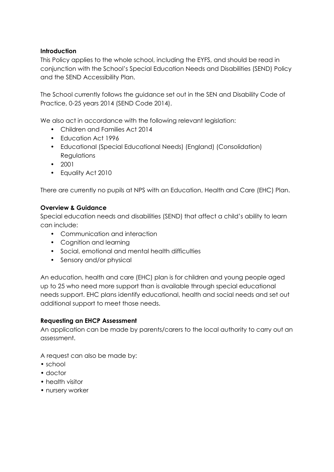#### **Introduction**

This Policy applies to the whole school, including the EYFS, and should be read in conjunction with the School's Special Education Needs and Disabilities (SEND) Policy and the SEND Accessibility Plan.

The School currently follows the guidance set out in the SEN and Disability Code of Practice, 0-25 years 2014 (SEND Code 2014).

We also act in accordance with the following relevant legislation:

- Children and Families Act 2014
- Education Act 1996
- Educational (Special Educational Needs) (England) (Consolidation) **Regulations**
- 2001
- Equality Act 2010

There are currently no pupils at NPS with an Education, Health and Care (EHC) Plan.

#### **Overview & Guidance**

Special education needs and disabilities (SEND) that affect a child's ability to learn can include:

- Communication and interaction
- Cognition and learning
- Social, emotional and mental health difficulties
- Sensory and/or physical

An education, health and care (EHC) plan is for children and young people aged up to 25 who need more support than is available through special educational needs support. EHC plans identify educational, health and social needs and set out additional support to meet those needs.

#### **Requesting an EHCP Assessment**

An application can be made by parents/carers to the local authority to carry out an assessment.

A request can also be made by:

- school
- doctor
- health visitor
- nursery worker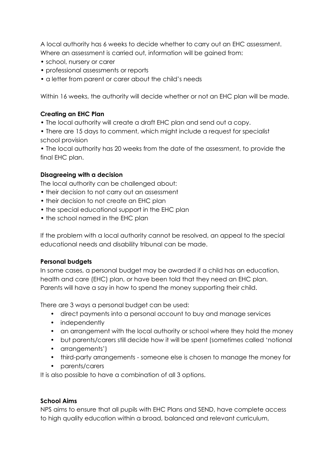A local authority has 6 weeks to decide whether to carry out an EHC assessment. Where an assessment is carried out, information will be gained from:

- school, nursery or carer
- professional assessments or reports
- a letter from parent or carer about the child's needs

Within 16 weeks, the authority will decide whether or not an EHC plan will be made.

### **Creating an EHC Plan**

- The local authority will create a draft EHC plan and send out a copy.
- There are 15 days to comment, which might include a request for specialist school provision

• The local authority has 20 weeks from the date of the assessment, to provide the final EHC plan.

#### **Disagreeing with a decision**

The local authority can be challenged about:

- their decision to not carry out an assessment
- their decision to not create an EHC plan
- the special educational support in the EHC plan
- the school named in the EHC plan

If the problem with a local authority cannot be resolved, an appeal to the special educational needs and disability tribunal can be made.

#### **Personal budgets**

In some cases, a personal budget may be awarded if a child has an education, health and care (EHC) plan, or have been told that they need an EHC plan. Parents will have a say in how to spend the money supporting their child.

There are 3 ways a personal budget can be used:

- direct payments into a personal account to buy and manage services
- independently
- an arrangement with the local authority or school where they hold the money
- but parents/carers still decide how it will be spent (sometimes called 'notional
- arrangements')
- third-party arrangements someone else is chosen to manage the money for
- parents/carers

It is also possible to have a combination of all 3 options.

#### **School Aims**

NPS aims to ensure that all pupils with EHC Plans and SEND, have complete access to high quality education within a broad, balanced and relevant curriculum,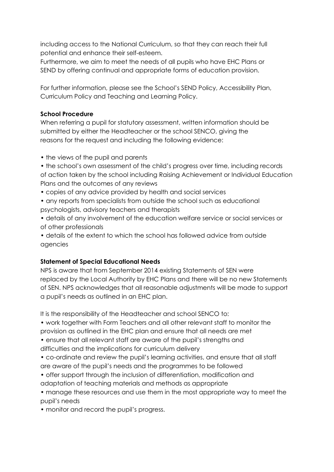including access to the National Curriculum, so that they can reach their full potential and enhance their self-esteem.

Furthermore, we aim to meet the needs of all pupils who have EHC Plans or SEND by offering continual and appropriate forms of education provision.

For further information, please see the School's SEND Policy, Accessibility Plan, Curriculum Policy and Teaching and Learning Policy.

## **School Procedure**

When referring a pupil for statutory assessment, written information should be submitted by either the Headteacher or the school SENCO, giving the reasons for the request and including the following evidence:

- the views of the pupil and parents
- the school's own assessment of the child's progress over time, including records of action taken by the school including Raising Achievement or Individual Education Plans and the outcomes of any reviews
- copies of any advice provided by health and social services
- any reports from specialists from outside the school such as educational psychologists, advisory teachers and therapists
- details of any involvement of the education welfare service or social services or of other professionals

• details of the extent to which the school has followed advice from outside agencies

## **Statement of Special Educational Needs**

NPS is aware that from September 2014 existing Statements of SEN were replaced by the Local Authority by EHC Plans and there will be no new Statements of SEN. NPS acknowledges that all reasonable adjustments will be made to support a pupil's needs as outlined in an EHC plan.

It is the responsibility of the Headteacher and school SENCO to:

- work together with Form Teachers and all other relevant staff to monitor the provision as outlined in the EHC plan and ensure that all needs are met
- ensure that all relevant staff are aware of the pupil's strengths and difficulties and the implications for curriculum delivery
- co-ordinate and review the pupil's learning activities, and ensure that all staff are aware of the pupil's needs and the programmes to be followed
- offer support through the inclusion of differentiation, modification and
- adaptation of teaching materials and methods as appropriate
- manage these resources and use them in the most appropriate way to meet the pupil's needs
- monitor and record the pupil's progress.